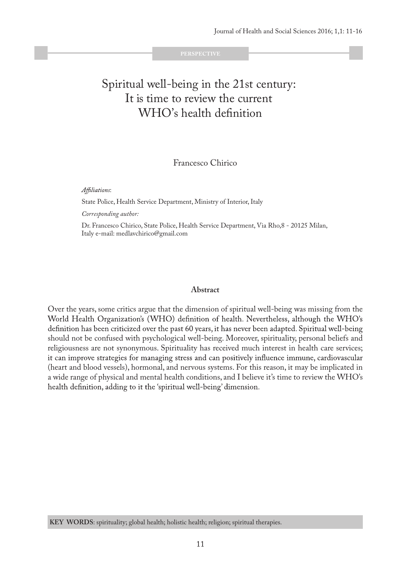# Spiritual well-being in the 21st century: It is time to review the current WHO's health definition

## Francesco Chirico

Affiliations:

State Police, Health Service Department, Ministry of Interior, Italy

*Corresponding author:* 

Dr. Francesco Chirico, State Police, Health Service Department, Via Rho,8 - 20125 Milan, Italy e-mail: medlavchirico@gmail.com

#### **Abstract**

Over the years, some critics argue that the dimension of spiritual well-being was missing from the World Health Organization's (WHO) definition of health. Nevertheless, although the WHO's definition has been criticized over the past 60 years, it has never been adapted. Spiritual well-being should not be confused with psychological well-being. Moreover, spirituality, personal beliefs and religiousness are not synonymous. Spirituality has received much interest in health care services; it can improve strategies for managing stress and can positively influence immune, cardiovascular (heart and blood vessels), hormonal, and nervous systems. For this reason, it may be implicated in a wide range of physical and mental health conditions, and I believe it's time to review the WHO's health definition, adding to it the 'spiritual well-being' dimension.

**KEY WORDS**: spirituality; global health; holistic health; religion; spiritual therapies.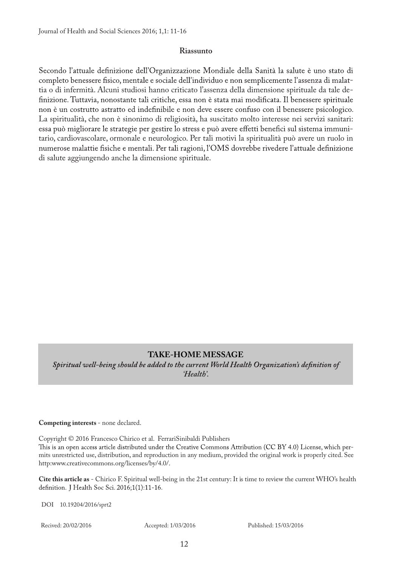### **Riassunto**

Secondo l'attuale definizione dell'Organizzazione Mondiale della Sanità la salute è uno stato di completo benessere fisico, mentale e sociale dell'individuo e non semplicemente l'assenza di malattia o di infermità. Alcuni studiosi hanno criticato l'assenza della dimensione spirituale da tale definizione. Tuttavia, nonostante tali critiche, essa non è stata mai modificata. Il benessere spirituale non è un costrutto astratto ed indefinibile e non deve essere confuso con il benessere psicologico. La spiritualità, che non è sinonimo di religiosità, ha suscitato molto interesse nei servizi sanitari: essa può migliorare le strategie per gestire lo stress e può avere effetti benefici sul sistema immunitario, cardiovascolare, ormonale e neurologico. Per tali motivi la spiritualità può avere un ruolo in numerose malattie fisiche e mentali. Per tali ragioni, l'OMS dovrebbe rivedere l'attuale definizione di salute aggiungendo anche la dimensione spirituale.

**TAKE-HOME MESSAGE**<br>Spiritual well-being should be added to the current World Health Organization's definition of *'Health'.*

**Competing interests** - none declared.

Copyright © 2016 Francesco Chirico et al. FerrariSinibaldi Publishers This is an open access article distributed under the Creative Commons Attribution (CC BY 4.0) License, which permits unrestricted use, distribution, and reproduction in any medium, provided the original work is properly cited. See http:www.creativecommons.org/licenses/by/4.0/.

**Cite this article as** - Chirico F. Spiritual well-being in the 21st century: It is time to review the current WHO's health

DOI 10.19204/2016/sprt2

Recived: 20/02/2016 Accepted: 1/03/2016 Published: 15/03/2016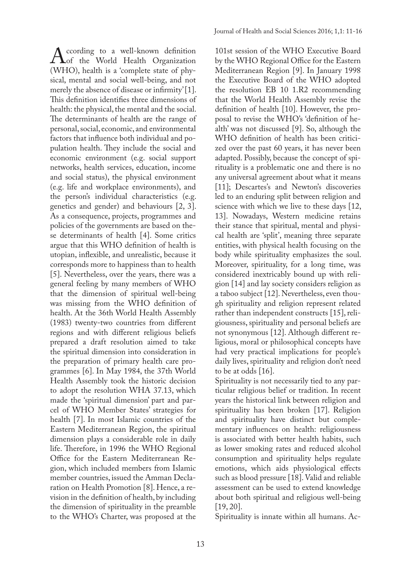According to a well-known definition<br>(WHO) health is a 'complete state of phyof the World Health Organization (WHO), health is a 'complete state of physical, mental and social well-being, and not merely the absence of disease or infirmity' [1]. This definition identifies three dimensions of health: the physical, the mental and the social. The determinants of health are the range of personal, social, economic, and environmental factors that influence both individual and population health. They include the social and economic environment (e.g. social support networks, health services, education, income and social status), the physical environment (e.g. life and workplace environments), and the person's individual characteristics (e.g. genetics and gender) and behaviours [2, 3]. As a consequence, projects, programmes and policies of the governments are based on these determinants of health [4]. Some critics argue that this WHO definition of health is utopian, inflexible, and unrealistic, because it corresponds more to happiness than to health [5]. Nevertheless, over the years, there was a general feeling by many members of WHO that the dimension of spiritual well-being was missing from the WHO definition of health. At the 36th World Health Assembly (1983) twenty-two countries from different regions and with different religious beliefs prepared a draft resolution aimed to take the spiritual dimension into consideration in the preparation of primary health care programmes [6]. In May 1984, the 37th World Health Assembly took the historic decision to adopt the resolution WHA 37.13, which made the 'spiritual dimension' part and parcel of WHO Member States' strategies for health [7]. In most Islamic countries of the Eastern Mediterranean Region, the spiritual dimension plays a considerable role in daily life. Therefore, in 1996 the WHO Regional Office for the Eastern Mediterranean Region, which included members from Islamic member countries, issued the Amman Declaration on Health Promotion [8]. Hence, a revision in the definition of health, by including the dimension of spirituality in the preamble to the WHO's Charter, was proposed at the

101st session of the WHO Executive Board by the WHO Regional Office for the Eastern Mediterranean Region [9]. In January 1998 the Executive Board of the WHO adopted the resolution EB 10 1.R2 recommending that the World Health Assembly revise the definition of health [10]. However, the proposal to revise the WHO's 'definition of health' was not discussed [9]. So, although the WHO definition of health has been criticized over the past 60 years, it has never been adapted. Possibly, because the concept of spirituality is a problematic one and there is no any universal agreement about what it means [11]; Descartes's and Newton's discoveries led to an enduring split between religion and science with which we live to these days [12, 13]. Nowadays, Western medicine retains their stance that spiritual, mental and physical health are 'split', meaning three separate entities, with physical health focusing on the body while spirituality emphasizes the soul. Moreover, spirituality, for a long time, was considered inextricably bound up with religion [14] and lay society considers religion as a taboo subject [12]. Nevertheless, even though spirituality and religion represent related rather than independent constructs [15], religiousness, spirituality and personal beliefs are not synonymous [12]. Although different religious, moral or philosophical concepts have had very practical implications for people's daily lives, spirituality and religion don't need to be at odds [16].

Spirituality is not necessarily tied to any particular religious belief or tradition. In recent years the historical link between religion and spirituality has been broken [17]. Religion and spirituality have distinct but complementary influences on health: religiousness is associated with better health habits, such as lower smoking rates and reduced alcohol consumption and spirituality helps regulate emotions, which aids physiological effects such as blood pressure [18]. Valid and reliable assessment can be used to extend knowledge about both spiritual and religious well-being [19, 20].

Spirituality is innate within all humans. Ac-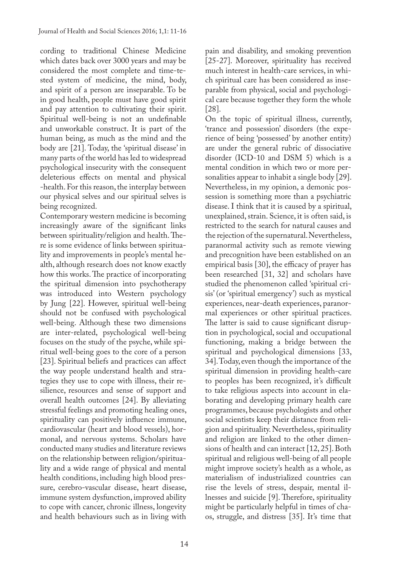cording to traditional Chinese Medicine which dates back over 3000 years and may be considered the most complete and time-tested system of medicine, the mind, body, and spirit of a person are inseparable. To be in good health, people must have good spirit and pay attention to cultivating their spirit. Spiritual well-being is not an undefinable and unworkable construct. It is part of the human being, as much as the mind and the body are [21]. Today, the 'spiritual disease' in many parts of the world has led to widespread psychological insecurity with the consequent deleterious effects on mental and physical -health. For this reason, the interplay between our physical selves and our spiritual selves is being recognized.

Contemporary western medicine is becoming increasingly aware of the significant links between spirituality/religion and health. There is some evidence of links between spirituality and improvements in people's mental health, although research does not know exactly how this works. The practice of incorporating the spiritual dimension into psychotherapy was introduced into Western psychology by Jung [22]. However, spiritual well-being should not be confused with psychological well-being. Although these two dimensions are inter-related, psychological well-being focuses on the study of the psyche, while spiritual well-being goes to the core of a person [23]. Spiritual beliefs and practices can affect the way people understand health and strategies they use to cope with illness, their resilience, resources and sense of support and overall health outcomes [24]. By alleviating stressful feelings and promoting healing ones, spirituality can positively influence immune, cardiovascular (heart and blood vessels), hormonal, and nervous systems. Scholars have conducted many studies and literature reviews on the relationship between religion/spirituality and a wide range of physical and mental health conditions, including high blood pressure, cerebro-vascular disease, heart disease, immune system dysfunction, improved ability to cope with cancer, chronic illness, longevity and health behaviours such as in living with

14

pain and disability, and smoking prevention [25-27]. Moreover, spirituality has received much interest in health-care services, in which spiritual care has been considered as inseparable from physical, social and psychological care because together they form the whole [28].

On the topic of spiritual illness, currently, 'trance and possession' disorders (the experience of being 'possessed' by another entity) are under the general rubric of dissociative disorder (ICD-10 and DSM 5) which is a mental condition in which two or more personalities appear to inhabit a single body [29]. Nevertheless, in my opinion, a demonic possession is something more than a psychiatric disease. I think that it is caused by a spiritual, unexplained, strain. Science, it is often said, is restricted to the search for natural causes and the rejection of the supernatural. Nevertheless, paranormal activity such as remote viewing and precognition have been established on an empirical basis [30], the efficacy of prayer has been researched [31, 32] and scholars have studied the phenomenon called 'spiritual crisis' (or 'spiritual emergency') such as mystical experiences, near-death experiences, paranormal experiences or other spiritual practices. The latter is said to cause significant disruption in psychological, social and occupational functioning, making a bridge between the spiritual and psychological dimensions [33, 34]. Today, even though the importance of the spiritual dimension in providing health-care to peoples has been recognized, it's difficult to take religious aspects into account in elaborating and developing primary health care programmes, because psychologists and other social scientists keep their distance from religion and spirituality. Nevertheless, spirituality and religion are linked to the other dimensions of health and can interact [12, 25]. Both spiritual and religious well-being of all people might improve society's health as a whole, as materialism of industrialized countries can rise the levels of stress, despair, mental illnesses and suicide [9]. Therefore, spirituality might be particularly helpful in times of chaos, struggle, and distress [35]. It's time that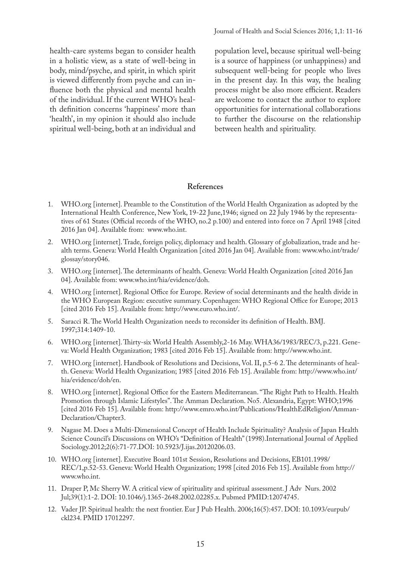health-care systems began to consider health in a holistic view, as a state of well-being in body, mind/psyche, and spirit, in which spirit is viewed differently from psyche and can influence both the physical and mental health of the individual. If the current WHO's health definition concerns 'happiness' more than 'health', in my opinion it should also include spiritual well-being, both at an individual and population level, because spiritual well-being is a source of happiness (or unhappiness) and subsequent well-being for people who lives in the present day. In this way, the healing process might be also more efficient. Readers are welcome to contact the author to explore opportunities for international collaborations to further the discourse on the relationship between health and spirituality.

#### **References**

- 1. WHO.org [internet]. Preamble to the Constitution of the World Health Organization as adopted by the International Health Conference, New York, 19-22 June,1946; signed on 22 July 1946 by the representatives of 61 States (Official records of the WHO, no.2 p.100) and entered into force on 7 April 1948 [cited 2016 Jan 04]. Available from: www.who.int.
- 2. WHO.org [internet]. Trade, foreign policy, diplomacy and health. Glossary of globalization, trade and health terms. Geneva: World Health Organization [cited 2016 Jan 04]. Available from: www.who.int/trade/ glossay/story046.
- 3. WHO.org [internet]. The determinants of health. Geneva: World Health Organization [cited 2016 Jan 04]. Available from: www.who.int/hia/evidence/doh.
- 4. WHO.org [internet]. Regional Office for Europe. Review of social determinants and the health divide in the WHO European Region: executive summary. Copenhagen: WHO Regional Office for Europe; 2013 [cited 2016 Feb 15]. Available from: http://www.euro.who.int/.
- 5. Saracci R. The World Health Organization needs to reconsider its definition of Health. BMJ. 1997;314:1409-10.
- 6. WHO.org [internet]. Thirty-six World Health Assembly,2-16 May. WHA36/1983/REC/3, p.221. Geneva: World Health Organization; 1983 [cited 2016 Feb 15]. Available from: http://www.who.int.
- 7. WHO.org [internet]. Handbook of Resolutions and Decisions, Vol. II, p.5-6 2. The determinants of health. Geneva: World Health Organization; 1985 [cited 2016 Feb 15]. Available from: http://www.who.int/ hia/evidence/doh/en.
- 8. WHO.org [internet]. Regional Office for the Eastern Mediterranean. "The Right Path to Health. Health Promotion through Islamic Lifestyles". The Amman Declaration. No5. Alexandria, Egypt: WHO;1996 [cited 2016 Feb 15]. Available from: http://www.emro.who.int/Publications/HealthEdReligion/Amman-Declaration/Chapter3.
- 9. Nagase M. Does a Multi-Dimensional Concept of Health Include Spirituality? Analysis of Japan Health Science Council's Discussions on WHO's "Definition of Health" (1998).International Journal of Applied Sociology.2012;2(6):71-77.DOI: 10.5923/J.ijas.20120206.03.
- 10. WHO.org [internet]. Executive Board 101st Session, Resolutions and Decisions, EB101.1998/ REC/1,p.52-53. Geneva: World Health Organization; 1998 [cited 2016 Feb 15]. Available from http:// www.who.int.
- 11. Draper P, Mc Sherry W. A critical view of spirituality and spiritual assessment. J Adv Nurs. 2002 Jul;39(1):1-2. DOI: 10.1046/j.1365-2648.2002.02285.x. Pubmed PMID:12074745.
- 12. Vader JP. Spiritual health: the next frontier. Eur J Pub Health. 2006;16(5):457. DOI: 10.1093/eurpub/ ckl234. PMID 17012297.